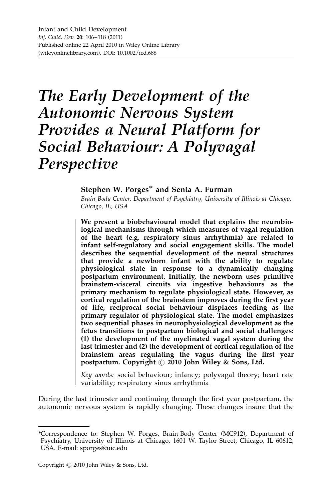# The Early Development of the Autonomic Nervous System Provides a Neural Platform for Social Behaviour: A Polyvagal **Perspective**

# Stephen W. Porges<sup>\*</sup> and Senta A. Furman

Brain-Body Center, Department of Psychiatry, University of Illinois at Chicago, Chicago, IL, USA

We present a biobehavioural model that explains the neurobiological mechanisms through which measures of vagal regulation of the heart (e.g. respiratory sinus arrhythmia) are related to infant self-regulatory and social engagement skills. The model describes the sequential development of the neural structures that provide a newborn infant with the ability to regulate physiological state in response to a dynamically changing postpartum environment. Initially, the newborn uses primitive brainstem-visceral circuits via ingestive behaviours as the primary mechanism to regulate physiological state. However, as cortical regulation of the brainstem improves during the first year of life, reciprocal social behaviour displaces feeding as the primary regulator of physiological state. The model emphasizes two sequential phases in neurophysiological development as the fetus transitions to postpartum biological and social challenges: (1) the development of the myelinated vagal system during the last trimester and (2) the development of cortical regulation of the brainstem areas regulating the vagus during the first year postpartum. Copyright  $\odot$  2010 John Wiley & Sons, Ltd.

Key words: social behaviour; infancy; polyvagal theory; heart rate variability; respiratory sinus arrhythmia

During the last trimester and continuing through the first year postpartum, the autonomic nervous system is rapidly changing. These changes insure that the

--- $\overline{\phantom{a}}$  $\overline{\phantom{a}}$  $\overline{\phantom{a}}$  $\overline{\phantom{a}}$  $\overline{\phantom{a}}$  $\overline{\phantom{a}}$  $\overline{\phantom{a}}$  $\overline{\phantom{a}}$  $\overline{\phantom{a}}$  $\overline{\phantom{a}}$  $\overline{\phantom{a}}$  $\overline{\phantom{a}}$  $\overline{\phantom{a}}$  $\overline{\phantom{a}}$  $\overline{\phantom{a}}$  $\overline{\phantom{a}}$  $\overline{\phantom{a}}$  $\overline{\phantom{a}}$  $\overline{\phantom{a}}$  $\overline{\phantom{a}}$  $\overline{\phantom{a}}$  $\overline{\phantom{a}}$  $\overline{\phantom{a}}$  $\overline{\phantom{a}}$  $\overline{\phantom{a}}$  $\overline{\phantom{a}}$  $\overline{\phantom{a}}$  $\overline{\phantom{a}}$  $\overline{\phantom{a}}$  $\overline{\phantom{a}}$  $\overline{\phantom{a}}$  $\overline{\phantom{a}}$  $\overline{\phantom{a}}$  $\overline{\phantom{a}}$  $\overline{\phantom{a}}$  $\overline{\phantom{a}}$  $\overline{\phantom{a}}$ 

<sup>\*</sup>Correspondence to: Stephen W. Porges, Brain-Body Center (MC912), Department of Psychiatry, University of Illinois at Chicago, 1601 W. Taylor Street, Chicago, IL 60612, USA. E-mail: sporges@uic.edu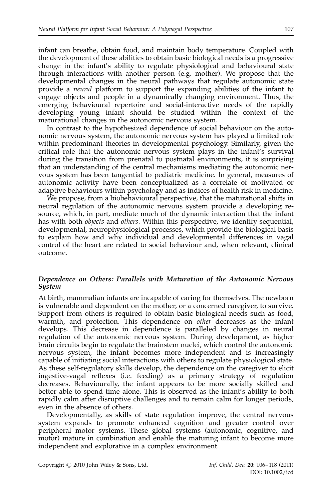infant can breathe, obtain food, and maintain body temperature. Coupled with the development of these abilities to obtain basic biological needs is a progressive change in the infant's ability to regulate physiological and behavioural state through interactions with another person (e.g. mother). We propose that the developmental changes in the neural pathways that regulate autonomic state provide a neural platform to support the expanding abilities of the infant to engage objects and people in a dynamically changing environment. Thus, the emerging behavioural repertoire and social-interactive needs of the rapidly developing young infant should be studied within the context of the maturational changes in the autonomic nervous system.

In contrast to the hypothesized dependence of social behaviour on the autonomic nervous system, the autonomic nervous system has played a limited role within predominant theories in developmental psychology. Similarly, given the critical role that the autonomic nervous system plays in the infant's survival during the transition from prenatal to postnatal environments, it is surprising that an understanding of the central mechanisms mediating the autonomic nervous system has been tangential to pediatric medicine. In general, measures of autonomic activity have been conceptualized as a correlate of motivated or adaptive behaviours within psychology and as indices of health risk in medicine.

We propose, from a biobehavioural perspective, that the maturational shifts in neural regulation of the autonomic nervous system provide a developing resource, which, in part, mediate much of the dynamic interaction that the infant has with both *objects* and *others*. Within this perspective, we identify sequential, developmental, neurophysiological processes, which provide the biological basis to explain how and why individual and developmental differences in vagal control of the heart are related to social behaviour and, when relevant, clinical outcome.

# Dependence on Others: Parallels with Maturation of the Autonomic Nervous System

At birth, mammalian infants are incapable of caring for themselves. The newborn is vulnerable and dependent on the mother, or a concerned caregiver, to survive. Support from others is required to obtain basic biological needs such as food, warmth, and protection. This dependence on other decreases as the infant develops. This decrease in dependence is paralleled by changes in neural regulation of the autonomic nervous system. During development, as higher brain circuits begin to regulate the brainstem nuclei, which control the autonomic nervous system, the infant becomes more independent and is increasingly capable of initiating social interactions with others to regulate physiological state. As these self-regulatory skills develop, the dependence on the caregiver to elicit ingestive-vagal reflexes (i.e. feeding) as a primary strategy of regulation decreases. Behaviourally, the infant appears to be more socially skilled and better able to spend time alone. This is observed as the infant's ability to both rapidly calm after disruptive challenges and to remain calm for longer periods, even in the absence of others.

Developmentally, as skills of state regulation improve, the central nervous system expands to promote enhanced cognition and greater control over peripheral motor systems. These global systems (autonomic, cognitive, and motor) mature in combination and enable the maturing infant to become more independent and explorative in a complex environment.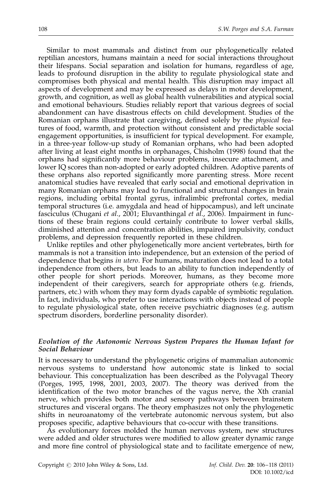Similar to most mammals and distinct from our phylogenetically related reptilian ancestors, humans maintain a need for social interactions throughout their lifespans. Social separation and isolation for humans, regardless of age, leads to profound disruption in the ability to regulate physiological state and compromises both physical and mental health. This disruption may impact all aspects of development and may be expressed as delays in motor development, growth, and cognition, as well as global health vulnerabilities and atypical social and emotional behaviours. Studies reliably report that various degrees of social abandonment can have disastrous effects on child development. Studies of the Romanian orphans illustrate that caregiving, defined solely by the physical features of food, warmth, and protection without consistent and predictable social engagement opportunities, is insufficient for typical development. For example, in a three-year follow-up study of Romanian orphans, who had been adopted after living at least eight months in orphanages, Chisholm (1998) found that the orphans had significantly more behaviour problems, insecure attachment, and lower IQ scores than non-adopted or early adopted children. Adoptive parents of these orphans also reported significantly more parenting stress. More recent anatomical studies have revealed that early social and emotional deprivation in many Romanian orphans may lead to functional and structural changes in brain regions, including orbital frontal gyrus, infralimbic prefrontal cortex, medial temporal structures (i.e. amygdala and head of hippocampus), and left uncinate fasciculus (Chugani et al., 2001; Eluvanthingal et al., 2006). Impairment in functions of these brain regions could certainly contribute to lower verbal skills, diminished attention and concentration abilities, impaired impulsivity, conduct problems, and depression frequently reported in these children.

Unlike reptiles and other phylogenetically more ancient vertebrates, birth for mammals is not a transition into independence, but an extension of the period of dependence that begins *in utero*. For humans, maturation does not lead to a total independence from others, but leads to an ability to function independently of other people for short periods. Moreover, humans, as they become more independent of their caregivers, search for appropriate others (e.g. friends, partners, etc.) with whom they may form dyads capable of symbiotic regulation. In fact, individuals, who prefer to use interactions with objects instead of people to regulate physiological state, often receive psychiatric diagnoses (e.g. autism spectrum disorders, borderline personality disorder).

#### Evolution of the Autonomic Nervous System Prepares the Human Infant for Social Behaviour

It is necessary to understand the phylogenetic origins of mammalian autonomic nervous systems to understand how autonomic state is linked to social behaviour. This conceptualization has been described as the Polyvagal Theory (Porges, 1995, 1998, 2001, 2003, 2007). The theory was derived from the identification of the two motor branches of the vagus nerve, the Xth cranial nerve, which provides both motor and sensory pathways between brainstem structures and visceral organs. The theory emphasizes not only the phylogenetic shifts in neuroanatomy of the vertebrate autonomic nervous system, but also proposes specific, adaptive behaviours that co-occur with these transitions.

As evolutionary forces molded the human nervous system, new structures were added and older structures were modified to allow greater dynamic range and more fine control of physiological state and to facilitate emergence of new,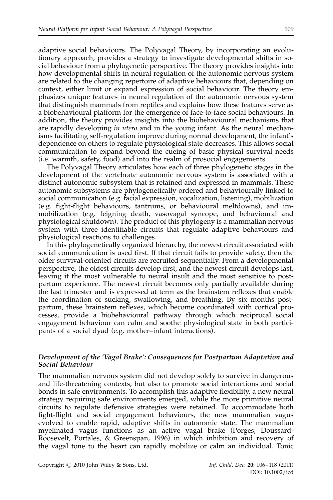adaptive social behaviours. The Polyvagal Theory, by incorporating an evolutionary approach, provides a strategy to investigate developmental shifts in social behaviour from a phylogenetic perspective. The theory provides insights into how developmental shifts in neural regulation of the autonomic nervous system are related to the changing repertoire of adaptive behaviours that, depending on context, either limit or expand expression of social behaviour. The theory emphasizes unique features in neural regulation of the autonomic nervous system that distinguish mammals from reptiles and explains how these features serve as a biobehavioural platform for the emergence of face-to-face social behaviours. In addition, the theory provides insights into the biobehavioural mechanisms that are rapidly developing *in utero* and in the young infant. As the neural mechanisms facilitating self-regulation improve during normal development, the infant's dependence on others to regulate physiological state decreases. This allows social communication to expand beyond the cueing of basic physical survival needs (i.e. warmth, safety, food) and into the realm of prosocial engagements.

The Polyvagal Theory articulates how each of three phylogenetic stages in the development of the vertebrate autonomic nervous system is associated with a distinct autonomic subsystem that is retained and expressed in mammals. These autonomic subsystems are phylogenetically ordered and behaviourally linked to social communication (e.g. facial expression, vocalization, listening), mobilization (e.g. fight-flight behaviours, tantrums, or behavioural meltdowns), and immobilization (e.g. feigning death, vasovagal syncope, and behavioural and physiological shutdown). The product of this phylogeny is a mammalian nervous system with three identifiable circuits that regulate adaptive behaviours and physiological reactions to challenges.

In this phylogenetically organized hierarchy, the newest circuit associated with social communication is used first. If that circuit fails to provide safety, then the older survival-oriented circuits are recruited sequentially. From a developmental perspective, the oldest circuits develop first, and the newest circuit develops last, leaving it the most vulnerable to neural insult and the most sensitive to postpartum experience. The newest circuit becomes only partially available during the last trimester and is expressed at term as the brainstem reflexes that enable the coordination of sucking, swallowing, and breathing. By six months postpartum, these brainstem reflexes, which become coordinated with cortical processes, provide a biobehavioural pathway through which reciprocal social engagement behaviour can calm and soothe physiological state in both participants of a social dyad (e.g. mother–infant interactions).

#### Development of the 'Vagal Brake': Consequences for Postpartum Adaptation and Social Behaviour

The mammalian nervous system did not develop solely to survive in dangerous and life-threatening contexts, but also to promote social interactions and social bonds in safe environments. To accomplish this adaptive flexibility, a new neural strategy requiring safe environments emerged, while the more primitive neural circuits to regulate defensive strategies were retained. To accommodate both fight-flight and social engagement behaviours, the new mammalian vagus evolved to enable rapid, adaptive shifts in autonomic state. The mammalian myelinated vagus functions as an active vagal brake (Porges, Doussard-Roosevelt, Portales, & Greenspan, 1996) in which inhibition and recovery of the vagal tone to the heart can rapidly mobilize or calm an individual. Tonic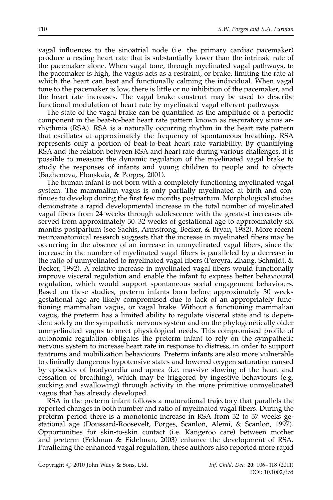vagal influences to the sinoatrial node (i.e. the primary cardiac pacemaker) produce a resting heart rate that is substantially lower than the intrinsic rate of the pacemaker alone. When vagal tone, through myelinated vagal pathways, to the pacemaker is high, the vagus acts as a restraint, or brake, limiting the rate at which the heart can beat and functionally calming the individual. When vagal tone to the pacemaker is low, there is little or no inhibition of the pacemaker, and the heart rate increases. The vagal brake construct may be used to describe functional modulation of heart rate by myelinated vagal efferent pathways.

The state of the vagal brake can be quantified as the amplitude of a periodic component in the beat-to-beat heart rate pattern known as respiratory sinus arrhythmia (RSA). RSA is a naturally occurring rhythm in the heart rate pattern that oscillates at approximately the frequency of spontaneous breathing. RSA represents only a portion of beat-to-beat heart rate variability. By quantifying RSA and the relation between RSA and heart rate during various challenges, it is possible to measure the dynamic regulation of the myelinated vagal brake to study the responses of infants and young children to people and to objects (Bazhenova, Plonskaia, & Porges, 2001).

The human infant is not born with a completely functioning myelinated vagal system. The mammalian vagus is only partially myelinated at birth and continues to develop during the first few months postpartum. Morphological studies demonstrate a rapid developmental increase in the total number of myelinated vagal fibers from 24 weeks through adolescence with the greatest increases observed from approximately 30–32 weeks of gestational age to approximately six months postpartum (see Sachis, Armstrong, Becker, & Bryan, 1982). More recent neuroanatomical research suggests that the increase in myelinated fibers may be occurring in the absence of an increase in unmyelinated vagal fibers, since the increase in the number of myelinated vagal fibers is paralleled by a decrease in the ratio of unmyelinated to myelinated vagal fibers (Pereyra, Zhang, Schmidt, & Becker, 1992). A relative increase in myelinated vagal fibers would functionally improve visceral regulation and enable the infant to express better behavioural regulation, which would support spontaneous social engagement behaviours. Based on these studies, preterm infants born before approximately 30 weeks gestational age are likely compromised due to lack of an appropriately functioning mammalian vagus, or vagal brake. Without a functioning mammalian vagus, the preterm has a limited ability to regulate visceral state and is dependent solely on the sympathetic nervous system and on the phylogenetically older unmyelinated vagus to meet physiological needs. This compromised profile of autonomic regulation obligates the preterm infant to rely on the sympathetic nervous system to increase heart rate in response to distress, in order to support tantrums and mobilization behaviours. Preterm infants are also more vulnerable to clinically dangerous hypotensive states and lowered oxygen saturation caused by episodes of bradycardia and apnea (i.e. massive slowing of the heart and cessation of breathing), which may be triggered by ingestive behaviours (e.g. sucking and swallowing) through activity in the more primitive unmyelinated vagus that has already developed.

RSA in the preterm infant follows a maturational trajectory that parallels the reported changes in both number and ratio of myelinated vagal fibers. During the preterm period there is a monotonic increase in RSA from 32 to 37 weeks gestational age (Doussard-Roosevelt, Porges, Scanlon, Alemi, & Scanlon, 1997). Opportunities for skin-to-skin contact (i.e. Kangeroo care) between mother and preterm (Feldman & Eidelman, 2003) enhance the development of RSA. Paralleling the enhanced vagal regulation, these authors also reported more rapid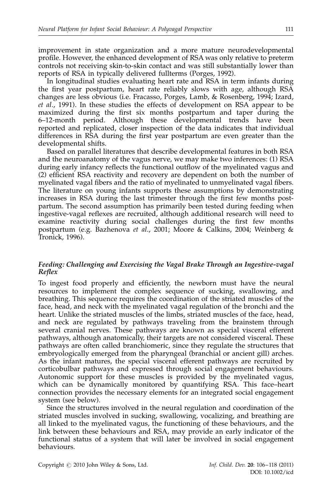improvement in state organization and a more mature neurodevelopmental profile. However, the enhanced development of RSA was only relative to preterm controls not receiving skin-to-skin contact and was still substantially lower than reports of RSA in typically delivered fullterms (Porges, 1992).

In longitudinal studies evaluating heart rate and RSA in term infants during the first year postpartum, heart rate reliably slows with age, although RSA changes are less obvious (i.e. Fracasso, Porges, Lamb, & Rosenberg, 1994; Izard, et al., 1991). In these studies the effects of development on RSA appear to be maximized during the first six months postpartum and taper during the 6–12-month period. Although these developmental trends have been reported and replicated, closer inspection of the data indicates that individual differences in RSA during the first year postpartum are even greater than the developmental shifts.

Based on parallel literatures that describe developmental features in both RSA and the neuroanatomy of the vagus nerve, we may make two inferences: (1) RSA during early infancy reflects the functional outflow of the myelinated vagus and (2) efficient RSA reactivity and recovery are dependent on both the number of myelinated vagal fibers and the ratio of myelinated to unmyelinated vagal fibers. The literature on young infants supports these assumptions by demonstrating increases in RSA during the last trimester through the first few months postpartum. The second assumption has primarily been tested during feeding when ingestive-vagal reflexes are recruited, although additional research will need to examine reactivity during social challenges during the first few months postpartum (e.g. Bazhenova et al., 2001; Moore & Calkins, 2004; Weinberg & Tronick, 1996).

# Feeding: Challenging and Exercising the Vagal Brake Through an Ingestive-vagal Reflex

To ingest food properly and efficiently, the newborn must have the neural resources to implement the complex sequence of sucking, swallowing, and breathing. This sequence requires the coordination of the striated muscles of the face, head, and neck with the myelinated vagal regulation of the bronchi and the heart. Unlike the striated muscles of the limbs, striated muscles of the face, head, and neck are regulated by pathways traveling from the brainstem through several cranial nerves. These pathways are known as special visceral efferent pathways, although anatomically, their targets are not considered visceral. These pathways are often called branchiomeric, since they regulate the structures that embryologically emerged from the pharyngeal (branchial or ancient gill) arches. As the infant matures, the special visceral efferent pathways are recruited by corticobulbar pathways and expressed through social engagement behaviours. Autonomic support for these muscles is provided by the myelinated vagus, which can be dynamically monitored by quantifying RSA. This face–heart connection provides the necessary elements for an integrated social engagement system (see below).

Since the structures involved in the neural regulation and coordination of the striated muscles involved in sucking, swallowing, vocalizing, and breathing are all linked to the myelinated vagus, the functioning of these behaviours, and the link between these behaviours and RSA, may provide an early indicator of the functional status of a system that will later be involved in social engagement behaviours.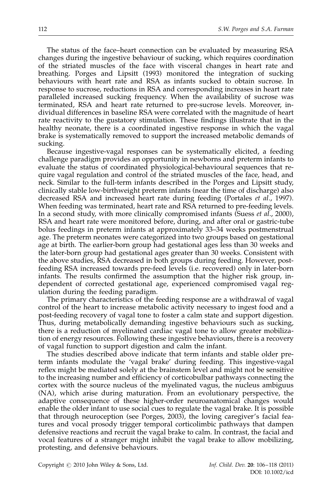The status of the face–heart connection can be evaluated by measuring RSA changes during the ingestive behaviour of sucking, which requires coordination of the striated muscles of the face with visceral changes in heart rate and breathing. Porges and Lipsitt (1993) monitored the integration of sucking behaviours with heart rate and RSA as infants sucked to obtain sucrose. In response to sucrose, reductions in RSA and corresponding increases in heart rate paralleled increased sucking frequency. When the availability of sucrose was terminated, RSA and heart rate returned to pre-sucrose levels. Moreover, individual differences in baseline RSA were correlated with the magnitude of heart rate reactivity to the gustatory stimulation. These findings illustrate that in the healthy neonate, there is a coordinated ingestive response in which the vagal brake is systematically removed to support the increased metabolic demands of sucking.

Because ingestive-vagal responses can be systematically elicited, a feeding challenge paradigm provides an opportunity in newborns and preterm infants to evaluate the status of coordinated physiological-behavioural sequences that require vagal regulation and control of the striated muscles of the face, head, and neck. Similar to the full-term infants described in the Porges and Lipsitt study, clinically stable low-birthweight preterm infants (near the time of discharge) also decreased RSA and increased heart rate during feeding (Portales et al., 1997). When feeding was terminated, heart rate and RSA returned to pre-feeding levels. In a second study, with more clinically compromised infants (Suess et al., 2000), RSA and heart rate were monitored before, during, and after oral or gastric-tube bolus feedings in preterm infants at approximately 33–34 weeks postmenstrual age. The preterm neonates were categorized into two groups based on gestational age at birth. The earlier-born group had gestational ages less than 30 weeks and the later-born group had gestational ages greater than 30 weeks. Consistent with the above studies, RSA decreased in both groups during feeding. However, postfeeding RSA increased towards pre-feed levels (i.e. recovered) only in later-born infants. The results confirmed the assumption that the higher risk group, independent of corrected gestational age, experienced compromised vagal regulation during the feeding paradigm.

The primary characteristics of the feeding response are a withdrawal of vagal control of the heart to increase metabolic activity necessary to ingest food and a post-feeding recovery of vagal tone to foster a calm state and support digestion. Thus, during metabolically demanding ingestive behaviours such as sucking, there is a reduction of myelinated cardiac vagal tone to allow greater mobilization of energy resources. Following these ingestive behaviours, there is a recovery of vagal function to support digestion and calm the infant.

The studies described above indicate that term infants and stable older preterm infants modulate the 'vagal brake' during feeding. This ingestive-vagal reflex might be mediated solely at the brainstem level and might not be sensitive to the increasing number and efficiency of corticobulbar pathways connecting the cortex with the source nucleus of the myelinated vagus, the nucleus ambiguus (NA), which arise during maturation. From an evolutionary perspective, the adaptive consequence of these higher-order neuroanatomical changes would enable the older infant to use social cues to regulate the vagal brake. It is possible that through neuroception (see Porges, 2003), the loving caregiver's facial features and vocal prosody trigger temporal corticolimbic pathways that dampen defensive reactions and recruit the vagal brake to calm. In contrast, the facial and vocal features of a stranger might inhibit the vagal brake to allow mobilizing, protesting, and defensive behaviours.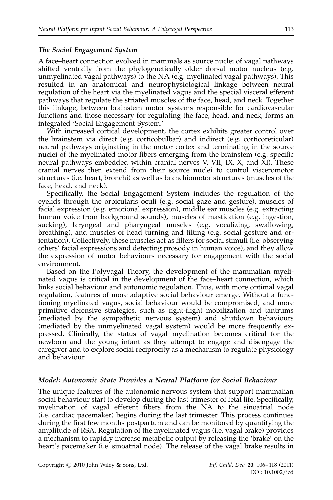#### The Social Engagement System

A face–heart connection evolved in mammals as source nuclei of vagal pathways shifted ventrally from the phylogenetically older dorsal motor nucleus (e.g. unmyelinated vagal pathways) to the NA (e.g. myelinated vagal pathways). This resulted in an anatomical and neurophysiological linkage between neural regulation of the heart via the myelinated vagus and the special visceral efferent pathways that regulate the striated muscles of the face, head, and neck. Together this linkage, between brainstem motor systems responsible for cardiovascular functions and those necessary for regulating the face, head, and neck, forms an integrated 'Social Engagement System.'

With increased cortical development, the cortex exhibits greater control over the brainstem via direct (e.g. corticobulbar) and indirect (e.g. corticoreticular) neural pathways originating in the motor cortex and terminating in the source nuclei of the myelinated motor fibers emerging from the brainstem (e.g. specific neural pathways embedded within cranial nerves V, VII, IX, X, and XI). These cranial nerves then extend from their source nuclei to control visceromotor structures (i.e. heart, bronchi) as well as branchiomotor structures (muscles of the face, head, and neck).

Specifically, the Social Engagement System includes the regulation of the eyelids through the orbicularis oculi (e.g. social gaze and gesture), muscles of facial expression (e.g. emotional expression), middle ear muscles (e.g. extracting human voice from background sounds), muscles of mastication (e.g. ingestion, sucking), laryngeal and pharyngeal muscles (e.g. vocalizing, swallowing, breathing), and muscles of head turning and tilting (e.g. social gesture and orientation). Collectively, these muscles act as filters for social stimuli (i.e. observing others' facial expressions and detecting prosody in human voice), and they allow the expression of motor behaviours necessary for engagement with the social environment.

Based on the Polyvagal Theory, the development of the mammalian myelinated vagus is critical in the development of the face–heart connection, which links social behaviour and autonomic regulation. Thus, with more optimal vagal regulation, features of more adaptive social behaviour emerge. Without a functioning myelinated vagus, social behaviour would be compromised, and more primitive defensive strategies, such as fight-flight mobilization and tantrums (mediated by the sympathetic nervous system) and shutdown behaviours (mediated by the unmyelinated vagal system) would be more frequently expressed. Clinically, the status of vagal myelination becomes critical for the newborn and the young infant as they attempt to engage and disengage the caregiver and to explore social reciprocity as a mechanism to regulate physiology and behaviour.

## Model: Autonomic State Provides a Neural Platform for Social Behaviour

The unique features of the autonomic nervous system that support mammalian social behaviour start to develop during the last trimester of fetal life. Specifically, myelination of vagal efferent fibers from the NA to the sinoatrial node (i.e. cardiac pacemaker) begins during the last trimester. This process continues during the first few months postpartum and can be monitored by quantifying the amplitude of RSA. Regulation of the myelinated vagus (i.e. vagal brake) provides a mechanism to rapidly increase metabolic output by releasing the 'brake' on the heart's pacemaker (i.e. sinoatrial node). The release of the vagal brake results in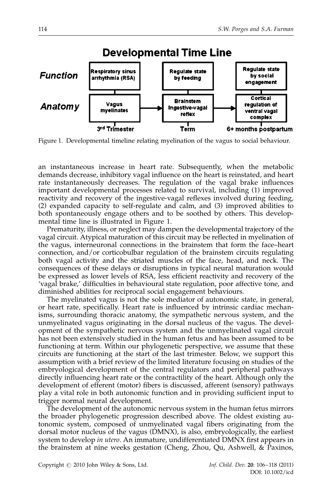

Figure 1. Developmental timeline relating myelination of the vagus to social behaviour.

an instantaneous increase in heart rate. Subsequently, when the metabolic demands decrease, inhibitory vagal influence on the heart is reinstated, and heart rate instantaneously decreases. The regulation of the vagal brake influences important developmental processes related to survival, including (1) improved reactivity and recovery of the ingestive-vagal reflexes involved during feeding, (2) expanded capacity to self-regulate and calm, and (3) improved abilities to both spontaneously engage others and to be soothed by others. This developmental time line is illustrated in Figure 1.

Prematurity, illness, or neglect may dampen the developmental trajectory of the vagal circuit. Atypical maturation of this circuit may be reflected in myelination of the vagus, interneuronal connections in the brainstem that form the face–heart connection, and/or corticobulbar regulation of the brainstem circuits regulating both vagal activity and the striated muscles of the face, head, and neck. The consequences of these delays or disruptions in typical neural maturation would be expressed as lower levels of RSA, less efficient reactivity and recovery of the 'vagal brake,' difficulties in behavioural state regulation, poor affective tone, and diminished abilities for reciprocal social engagement behaviours.

The myelinated vagus is not the sole mediator of autonomic state, in general, or heart rate, specifically. Heart rate is influenced by intrinsic cardiac mechanisms, surrounding thoracic anatomy, the sympathetic nervous system, and the unmyelinated vagus originating in the dorsal nucleus of the vagus. The development of the sympathetic nervous system and the unmyelinated vagal circuit has not been extensively studied in the human fetus and has been assumed to be functioning at term. Within our phylogenetic perspective, we assume that these circuits are functioning at the start of the last trimester. Below, we support this assumption with a brief review of the limited literature focusing on studies of the embryological development of the central regulators and peripheral pathways directly influencing heart rate or the contractility of the heart. Although only the development of efferent (motor) fibers is discussed, afferent (sensory) pathways play a vital role in both autonomic function and in providing sufficient input to trigger normal neural development.

The development of the autonomic nervous system in the human fetus mirrors the broader phylogenetic progression described above. The oldest existing autonomic system, composed of unmyelinated vagal fibers originating from the dorsal motor nucleus of the vagus (DMNX), is also, embryologically, the earliest system to develop *in utero*. An immature, undifferentiated DMNX first appears in the brainstem at nine weeks gestation (Cheng, Zhou, Qu, Ashwell, & Paxinos,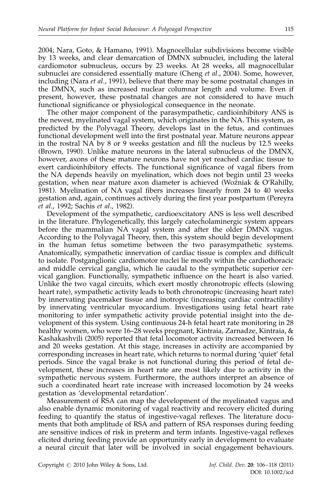2004; Nara, Goto, & Hamano, 1991). Magnocellular subdivisions become visible by 13 weeks, and clear demarcation of DMNX subnuclei, including the lateral cardiomotor subnucleus, occurs by 23 weeks. At 28 weeks, all magnocellular subnuclei are considered essentially mature (Cheng et al., 2004). Some, however, including (Nara et al., 1991), believe that there may be some postnatal changes in the DMNX, such as increased nuclear columnar length and volume. Even if present, however, these postnatal changes are not considered to have much functional significance or physiological consequence in the neonate.

The other major component of the parasympathetic, cardioinhibitory ANS is the newest, myelinated vagal system, which originates in the NA. This system, as predicted by the Polyvagal Theory, develops last in the fetus, and continues functional development well into the first postnatal year. Mature neurons appear in the rostral NA by 8 or 9 weeks gestation and fill the nucleus by 12.5 weeks (Brown, 1990). Unlike mature neurons in the lateral subnucleus of the DMNX, however, axons of these mature neurons have not yet reached cardiac tissue to exert cardioinhibitory effects. The functional significance of vagal fibers from the NA depends heavily on myelination, which does not begin until 23 weeks gestation, when near mature axon diameter is achieved (Wozniak & O'Rahilly, 1981). Myelination of NA vagal fibers increases linearly from 24 to 40 weeks gestation and, again, continues actively during the first year postpartum (Pereyra et al., 1992; Sachis et al., 1982).

Development of the sympathetic, cardioexcitatory ANS is less well described in the literature. Phylogenetically, this largely catecholaminergic system appears before the mammalian NA vagal system and after the older DMNX vagus. According to the Polyvagal Theory, then, this system should begin development in the human fetus sometime between the two parasympathetic systems. Anatomically, sympathetic innervation of cardiac tissue is complex and difficult to isolate. Postganglionic cardiomotor nuclei lie mostly within the cardiothoracic and middle cervical ganglia, which lie caudal to the sympathetic superior cervical ganglion. Functionally, sympathetic influence on the heart is also varied. Unlike the two vagal circuits, which exert mostly chronotropic effects (slowing heart rate), sympathetic activity leads to both chronotropic (increasing heart rate) by innervating pacemaker tissue and inotropic (increasing cardiac contractility) by innervating ventricular myocardium. Investigations using fetal heart rate monitoring to infer sympathetic activity provide potential insight into the development of this system. Using continuous 24-h fetal heart rate monitoring in 28 healthy women, who were 16–28 weeks pregnant, Kintraia, Zarnadze, Kintraia, & Kashakashvili (2005) reported that fetal locomotor activity increased between 16 and 20 weeks gestation. At this stage, increases in activity are accompanied by corresponding increases in heart rate, which returns to normal during 'quiet' fetal periods. Since the vagal brake is not functional during this period of fetal development, these increases in heart rate are most likely due to activity in the sympathetic nervous system. Furthermore, the authors interpret an absence of such a coordinated heart rate increase with increased locomotion by 24 weeks gestation as 'developmental retardation'.

Measurement of RSA can map the development of the myelinated vagus and also enable dynamic monitoring of vagal reactivity and recovery elicited during feeding to quantify the status of ingestive-vagal reflexes. The literature documents that both amplitude of RSA and pattern of RSA responses during feeding are sensitive indices of risk in preterm and term infants. Ingestive-vagal reflexes elicited during feeding provide an opportunity early in development to evaluate a neural circuit that later will be involved in social engagement behaviours.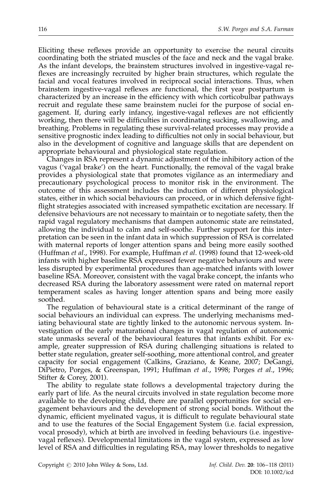Eliciting these reflexes provide an opportunity to exercise the neural circuits coordinating both the striated muscles of the face and neck and the vagal brake. As the infant develops, the brainstem structures involved in ingestive-vagal reflexes are increasingly recruited by higher brain structures, which regulate the facial and vocal features involved in reciprocal social interactions. Thus, when brainstem ingestive-vagal reflexes are functional, the first year postpartum is characterized by an increase in the efficiency with which corticobulbar pathways recruit and regulate these same brainstem nuclei for the purpose of social engagement. If, during early infancy, ingestive-vagal reflexes are not efficiently working, then there will be difficulties in coordinating sucking, swallowing, and breathing. Problems in regulating these survival-related processes may provide a sensitive prognostic index leading to difficulties not only in social behaviour, but also in the development of cognitive and language skills that are dependent on appropriate behavioural and physiological state regulation.

Changes in RSA represent a dynamic adjustment of the inhibitory action of the vagus ('vagal brake') on the heart. Functionally, the removal of the vagal brake provides a physiological state that promotes vigilance as an intermediary and precautionary psychological process to monitor risk in the environment. The outcome of this assessment includes the induction of different physiological states, either in which social behaviours can proceed, or in which defensive fightflight strategies associated with increased sympathetic excitation are necessary. If defensive behaviours are not necessary to maintain or to negotiate safety, then the rapid vagal regulatory mechanisms that dampen autonomic state are reinstated, allowing the individual to calm and self-soothe. Further support for this interpretation can be seen in the infant data in which suppression of RSA is correlated with maternal reports of longer attention spans and being more easily soothed (Huffman et al., 1998). For example, Huffman et al. (1998) found that 12-week-old infants with higher baseline RSA expressed fewer negative behaviours and were less disrupted by experimental procedures than age-matched infants with lower baseline RSA. Moreover, consistent with the vagal brake concept, the infants who decreased RSA during the laboratory assessment were rated on maternal report temperament scales as having longer attention spans and being more easily soothed.

The regulation of behavioural state is a critical determinant of the range of social behaviours an individual can express. The underlying mechanisms mediating behavioural state are tightly linked to the autonomic nervous system. Investigation of the early maturational changes in vagal regulation of autonomic state unmasks several of the behavioural features that infants exhibit. For example, greater suppression of RSA during challenging situations is related to better state regulation, greater self-soothing, more attentional control, and greater capacity for social engagement (Calkins, Graziano, & Keane, 2007; DeGangi, DiPietro, Porges, & Greenspan, 1991; Huffman et al., 1998; Porges et al., 1996; Stifter & Corey, 2001).

The ability to regulate state follows a developmental trajectory during the early part of life. As the neural circuits involved in state regulation become more available to the developing child, there are parallel opportunities for social engagement behaviours and the development of strong social bonds. Without the dynamic, efficient myelinated vagus, it is difficult to regulate behavioural state and to use the features of the Social Engagement System (i.e. facial expression, vocal prosody), which at birth are involved in feeding behaviours (i.e. ingestivevagal reflexes). Developmental limitations in the vagal system, expressed as low level of RSA and difficulties in regulating RSA, may lower thresholds to negative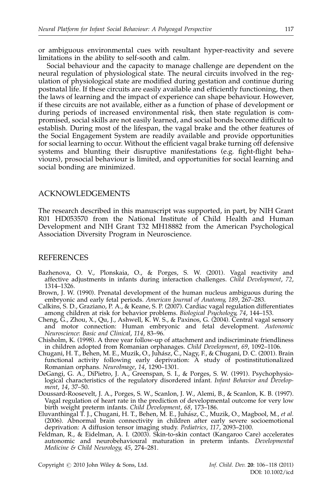or ambiguous environmental cues with resultant hyper-reactivity and severe limitations in the ability to self-sooth and calm.

Social behaviour and the capacity to manage challenge are dependent on the neural regulation of physiological state. The neural circuits involved in the regulation of physiological state are modified during gestation and continue during postnatal life. If these circuits are easily available and efficiently functioning, then the laws of learning and the impact of experience can shape behaviour. However, if these circuits are not available, either as a function of phase of development or during periods of increased environmental risk, then state regulation is compromised, social skills are not easily learned, and social bonds become difficult to establish. During most of the lifespan, the vagal brake and the other features of the Social Engagement System are readily available and provide opportunities for social learning to occur. Without the efficient vagal brake turning off defensive systems and blunting their disruptive manifestations (e.g. fight-flight behaviours), prosocial behaviour is limited, and opportunities for social learning and social bonding are minimized.

# ACKNOWLEDGEMENTS

The research described in this manuscript was supported, in part, by NIH Grant R01 HD053570 from the National Institute of Child Health and Human Development and NIH Grant T32 MH18882 from the American Psychological Association Diversity Program in Neuroscience.

#### REFERENCES

- Bazhenova, O. V., Plonskaia, O., & Porges, S. W. (2001). Vagal reactivity and affective adjustments in infants during interaction challenges. Child Development, 72, 1314–1326.
- Brown, J. W. (1990). Prenatal development of the human nucleus ambiguous during the embryonic and early fetal periods. American Journal of Anatomy, 189, 267–283.
- Calkins, S. D., Graziano, P. A., & Keane, S. P. (2007). Cardiac vagal regulation differentiates among children at risk for behavior problems. Biological Psychology, 74, 144–153.
- Cheng, G., Zhou, X., Qu, J., Ashwell, K. W. S., & Paxinos, G. (2004). Central vagal sensory and motor connection: Human embryonic and fetal development. Autonomic Neuroscience: Basic and Clinical, 114, 83–96.
- Chisholm, K. (1998). A three year follow-up of attachment and indiscriminate friendliness in children adopted from Romanian orphanages. Child Development, 69, 1092–1106.
- Chugani, H. T., Behen, M. E., Muzik, O., Juhász, Č., Nagy, F., & Chugani, D. C. (2001). Brain functional activity following early deprivation: A study of postinstitutionalized Romanian orphans. NeuroImage, 14, 1290–1301.
- DeGangi, G. A., DiPietro, J. A., Greenspan, S. I., & Porges, S. W. (1991). Psychophysiological characteristics of the regulatory disordered infant. Infant Behavior and Development, 14, 37–50.
- Doussard-Roosevelt, J. A., Porges, S. W., Scanlon, J. W., Alemi, B., & Scanlon, K. B. (1997). Vagal regulation of heart rate in the prediction of developmental outcome for very low birth weight preterm infants. Child Development, 68, 173–186.
- Eluvanthingal T. J., Chugani, H. T., Behen, M. E., Juhász, C., Muzik, O., Magbool, M., et al. (2006). Abnormal brain connectivity in children after early severe socioemotional deprivation: A diffusion tensor imaging study. Pediatrics, 117, 2093–2100.
- Feldman, R., & Eidelman, A. I. (2003). Skin-to-skin contact (Kangaroo Care) accelerates autonomic and neurobehavioural maturation in preterm infants. Developmental Medicine & Child Neurology, 45, 274–281.